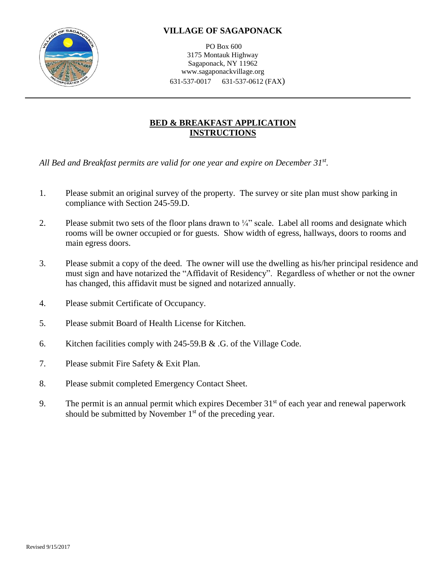

PO Box 600 3175 Montauk Highway Sagaponack, NY 11962 www.sagaponackvillage.org 631-537-0017 631-537-0612 (FAX)

### **BED & BREAKFAST APPLICATION INSTRUCTIONS**

*All Bed and Breakfast permits are valid for one year and expire on December 31st .*

- 1. Please submit an original survey of the property. The survey or site plan must show parking in compliance with Section 245-59.D.
- 2. Please submit two sets of the floor plans drawn to  $\frac{1}{4}$ " scale. Label all rooms and designate which rooms will be owner occupied or for guests. Show width of egress, hallways, doors to rooms and main egress doors.
- 3. Please submit a copy of the deed. The owner will use the dwelling as his/her principal residence and must sign and have notarized the "Affidavit of Residency". Regardless of whether or not the owner has changed, this affidavit must be signed and notarized annually.
- 4. Please submit Certificate of Occupancy.
- 5. Please submit Board of Health License for Kitchen.
- 6. Kitchen facilities comply with 245-59.B & .G. of the Village Code.
- 7. Please submit Fire Safety & Exit Plan.
- 8. Please submit completed Emergency Contact Sheet.
- 9. The permit is an annual permit which expires December  $31<sup>st</sup>$  of each year and renewal paperwork should be submitted by November  $1<sup>st</sup>$  of the preceding year.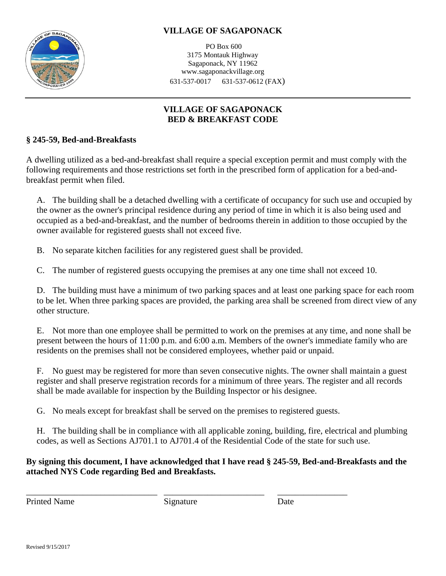

PO Box 600 3175 Montauk Highway Sagaponack, NY 11962 www.sagaponackvillage.org 631-537-0017 631-537-0612 (FAX)

# **VILLAGE OF SAGAPONACK BED & BREAKFAST CODE**

### **§ 245-59, Bed-and-Breakfasts**

A dwelling utilized as a bed-and-breakfast shall require a special exception permit and must comply with the following requirements and those restrictions set forth in the prescribed form of application for a bed-andbreakfast permit when filed.

[A.](http://www.ecode360.com/?custId=SA2797&guid=8083586&j=23) The building shall be a detached dwelling with a certificate of occupancy for such use and occupied by the owner as the owner's principal residence during any period of time in which it is also being used and occupied as a bed-and-breakfast, and the number of bedrooms therein in addition to those occupied by the owner available for registered guests shall not exceed five.

[B.](http://www.ecode360.com/?custId=SA2797&guid=8083587&j=23) No separate kitchen facilities for any registered guest shall be provided.

[C.](http://www.ecode360.com/?custId=SA2797&guid=8083588&j=23) The number of registered guests occupying the premises at any one time shall not exceed 10.

[D.](http://www.ecode360.com/?custId=SA2797&guid=8083589&j=23) The building must have a minimum of two parking spaces and at least one parking space for each room to be let. When three parking spaces are provided, the parking area shall be screened from direct view of any other structure.

E. Not more than one employee shall be permitted to work on the premises at any time, and none shall be present between the hours of 11:00 p.m. and 6:00 a.m. Members of the owner's immediate family who are residents on the premises shall not be considered employees, whether paid or unpaid.

[F.](http://www.ecode360.com/?custId=SA2797&guid=8083591&j=23) No guest may be registered for more than seven consecutive nights. The owner shall maintain a guest register and shall preserve registration records for a minimum of three years. The register and all records shall be made available for inspection by the Building Inspector or his designee.

[G.](http://www.ecode360.com/?custId=SA2797&guid=8083592&j=23) No meals except for breakfast shall be served on the premises to registered guests.

[H.](http://www.ecode360.com/?custId=SA2797&guid=8083593&j=23) The building shall be in compliance with all applicable zoning, building, fire, electrical and plumbing codes, as well as Sections AJ701.1 to AJ701.4 of the Residential Code of the state for such use.

### **By signing this document, I have acknowledged that I have read § 245-59, Bed-and-Breakfasts and the attached NYS Code regarding Bed and Breakfasts.**

Printed Name Signature Date

\_\_\_\_\_\_\_\_\_\_\_\_\_\_\_\_\_\_\_\_\_\_\_\_\_\_\_\_\_\_ \_\_\_\_\_\_\_\_\_\_\_\_\_\_\_\_\_\_\_\_\_\_\_ \_\_\_\_\_\_\_\_\_\_\_\_\_\_\_\_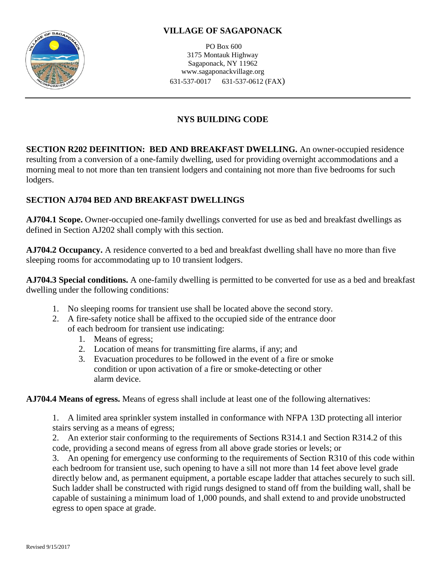

PO Box 600 3175 Montauk Highway Sagaponack, NY 11962 www.sagaponackvillage.org 631-537-0017 631-537-0612 (FAX)

# **NYS BUILDING CODE**

**SECTION R202 DEFINITION: BED AND BREAKFAST DWELLING.** An owner-occupied residence resulting from a conversion of a one-family dwelling, used for providing overnight accommodations and a morning meal to not more than ten transient lodgers and containing not more than five bedrooms for such lodgers.

## **SECTION AJ704 BED AND BREAKFAST DWELLINGS**

**AJ704.1 Scope.** Owner-occupied one-family dwellings converted for use as bed and breakfast dwellings as defined in Section AJ202 shall comply with this section.

**AJ704.2 Occupancy.** A residence converted to a bed and breakfast dwelling shall have no more than five sleeping rooms for accommodating up to 10 transient lodgers.

**AJ704.3 Special conditions.** A one-family dwelling is permitted to be converted for use as a bed and breakfast dwelling under the following conditions:

- 1. No sleeping rooms for transient use shall be located above the second story.
- 2. A fire-safety notice shall be affixed to the occupied side of the entrance door of each bedroom for transient use indicating:
	- 1. Means of egress;
	- 2. Location of means for transmitting fire alarms, if any; and
	- 3. Evacuation procedures to be followed in the event of a fire or smoke condition or upon activation of a fire or smoke-detecting or other alarm device.

**AJ704.4 Means of egress.** Means of egress shall include at least one of the following alternatives:

1. A limited area sprinkler system installed in conformance with NFPA 13D protecting all interior stairs serving as a means of egress;

2. An exterior stair conforming to the requirements of Sections R314.1 and Section R314.2 of this code, providing a second means of egress from all above grade stories or levels; or

3. An opening for emergency use conforming to the requirements of Section R310 of this code within each bedroom for transient use, such opening to have a sill not more than 14 feet above level grade directly below and, as permanent equipment, a portable escape ladder that attaches securely to such sill. Such ladder shall be constructed with rigid rungs designed to stand off from the building wall, shall be capable of sustaining a minimum load of 1,000 pounds, and shall extend to and provide unobstructed egress to open space at grade.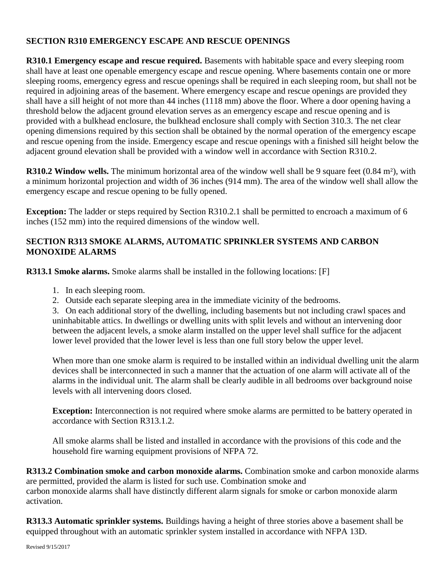### **SECTION R310 EMERGENCY ESCAPE AND RESCUE OPENINGS**

**R310.1 Emergency escape and rescue required.** Basements with habitable space and every sleeping room shall have at least one openable emergency escape and rescue opening. Where basements contain one or more sleeping rooms, emergency egress and rescue openings shall be required in each sleeping room, but shall not be required in adjoining areas of the basement. Where emergency escape and rescue openings are provided they shall have a sill height of not more than 44 inches (1118 mm) above the floor. Where a door opening having a threshold below the adjacent ground elevation serves as an emergency escape and rescue opening and is provided with a bulkhead enclosure, the bulkhead enclosure shall comply with Section 310.3. The net clear opening dimensions required by this section shall be obtained by the normal operation of the emergency escape and rescue opening from the inside. Emergency escape and rescue openings with a finished sill height below the adjacent ground elevation shall be provided with a window well in accordance with Section R310.2.

**R310.2 Window wells.** The minimum horizontal area of the window well shall be 9 square feet (0.84 m<sup>2</sup>), with a minimum horizontal projection and width of 36 inches (914 mm). The area of the window well shall allow the emergency escape and rescue opening to be fully opened.

**Exception:** The ladder or steps required by Section R310.2.1 shall be permitted to encroach a maximum of 6 inches (152 mm) into the required dimensions of the window well.

### **SECTION R313 SMOKE ALARMS, AUTOMATIC SPRINKLER SYSTEMS AND CARBON MONOXIDE ALARMS**

**R313.1 Smoke alarms.** Smoke alarms shall be installed in the following locations: [F]

- 1. In each sleeping room.
- 2. Outside each separate sleeping area in the immediate vicinity of the bedrooms.

3. On each additional story of the dwelling, including basements but not including crawl spaces and uninhabitable attics. In dwellings or dwelling units with split levels and without an intervening door between the adjacent levels, a smoke alarm installed on the upper level shall suffice for the adjacent lower level provided that the lower level is less than one full story below the upper level.

When more than one smoke alarm is required to be installed within an individual dwelling unit the alarm devices shall be interconnected in such a manner that the actuation of one alarm will activate all of the alarms in the individual unit. The alarm shall be clearly audible in all bedrooms over background noise levels with all intervening doors closed.

**Exception:** Interconnection is not required where smoke alarms are permitted to be battery operated in accordance with Section R313.1.2.

All smoke alarms shall be listed and installed in accordance with the provisions of this code and the household fire warning equipment provisions of NFPA 72.

**R313.2 Combination smoke and carbon monoxide alarms.** Combination smoke and carbon monoxide alarms are permitted, provided the alarm is listed for such use. Combination smoke and carbon monoxide alarms shall have distinctly different alarm signals for smoke or carbon monoxide alarm activation.

**R313.3 Automatic sprinkler systems.** Buildings having a height of three stories above a basement shall be equipped throughout with an automatic sprinkler system installed in accordance with NFPA 13D.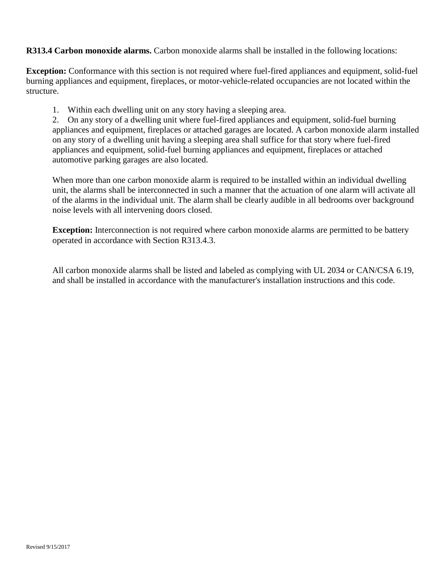**R313.4 Carbon monoxide alarms.** Carbon monoxide alarms shall be installed in the following locations:

**Exception:** Conformance with this section is not required where fuel-fired appliances and equipment, solid-fuel burning appliances and equipment, fireplaces, or motor-vehicle-related occupancies are not located within the structure.

1. Within each dwelling unit on any story having a sleeping area.

2. On any story of a dwelling unit where fuel-fired appliances and equipment, solid-fuel burning appliances and equipment, fireplaces or attached garages are located. A carbon monoxide alarm installed on any story of a dwelling unit having a sleeping area shall suffice for that story where fuel-fired appliances and equipment, solid-fuel burning appliances and equipment, fireplaces or attached automotive parking garages are also located.

When more than one carbon monoxide alarm is required to be installed within an individual dwelling unit, the alarms shall be interconnected in such a manner that the actuation of one alarm will activate all of the alarms in the individual unit. The alarm shall be clearly audible in all bedrooms over background noise levels with all intervening doors closed.

**Exception:** Interconnection is not required where carbon monoxide alarms are permitted to be battery operated in accordance with Section R313.4.3.

All carbon monoxide alarms shall be listed and labeled as complying with UL 2034 or CAN/CSA 6.19, and shall be installed in accordance with the manufacturer's installation instructions and this code.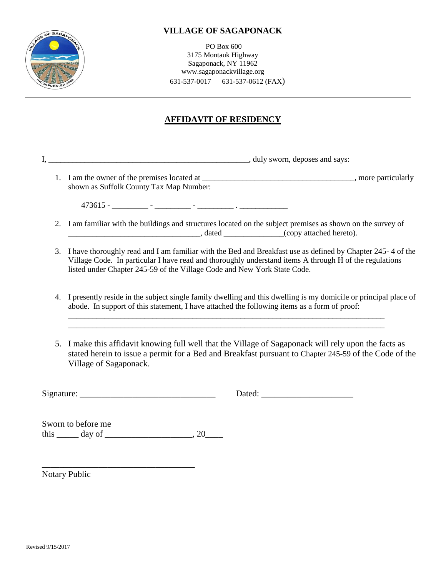

PO Box 600 3175 Montauk Highway Sagaponack, NY 11962 www.sagaponackvillage.org 631-537-0017 631-537-0612 (FAX)

## **AFFIDAVIT OF RESIDENCY**

I, \_\_\_\_\_\_\_\_\_\_\_\_\_\_\_\_\_\_\_\_\_\_\_\_\_\_\_\_\_\_\_\_\_\_\_\_\_\_\_\_\_\_\_\_\_\_\_\_\_\_, duly sworn, deposes and says:

1. I am the owner of the premises located at \_\_\_\_\_\_\_\_\_\_\_\_\_\_\_\_\_\_\_\_\_\_\_\_\_\_\_\_\_\_\_\_\_\_\_\_\_\_, more particularly shown as Suffolk County Tax Map Number:

473615 - \_\_\_\_\_\_\_\_\_ - \_\_\_\_\_\_\_\_\_ - \_\_\_\_\_\_\_\_\_ . \_\_\_\_\_\_\_\_\_\_\_\_

- 2. I am familiar with the buildings and structures located on the subject premises as shown on the survey of \_\_\_\_\_\_\_\_\_\_\_\_\_\_\_\_\_\_\_\_\_\_\_\_\_\_\_\_\_\_\_\_\_, dated \_\_\_\_\_\_\_\_\_\_\_\_\_\_\_(copy attached hereto).
- 3. I have thoroughly read and I am familiar with the Bed and Breakfast use as defined by Chapter 245- 4 of the Village Code. In particular I have read and thoroughly understand items A through H of the regulations listed under Chapter 245-59 of the Village Code and New York State Code.
- 4. I presently reside in the subject single family dwelling and this dwelling is my domicile or principal place of abode. In support of this statement, I have attached the following items as a form of proof:

\_\_\_\_\_\_\_\_\_\_\_\_\_\_\_\_\_\_\_\_\_\_\_\_\_\_\_\_\_\_\_\_\_\_\_\_\_\_\_\_\_\_\_\_\_\_\_\_\_\_\_\_\_\_\_\_\_\_\_\_\_\_\_\_\_\_\_\_\_\_\_\_\_\_\_\_\_\_\_ \_\_\_\_\_\_\_\_\_\_\_\_\_\_\_\_\_\_\_\_\_\_\_\_\_\_\_\_\_\_\_\_\_\_\_\_\_\_\_\_\_\_\_\_\_\_\_\_\_\_\_\_\_\_\_\_\_\_\_\_\_\_\_\_\_\_\_\_\_\_\_\_\_\_\_\_\_\_\_

5. I make this affidavit knowing full well that the Village of Sagaponack will rely upon the facts as stated herein to issue a permit for a Bed and Breakfast pursuant to Chapter 245-59 of the Code of the Village of Sagaponack.

Signature:  $\Box$  Dated:  $\Box$ 

Sworn to before me this  $\_\_\_\_$  day of  $\_\_\_\_\_\_\_$ , 20 $\_\_\_\_\_$ 

\_\_\_\_\_\_\_\_\_\_\_\_\_\_\_\_\_\_\_\_\_\_\_\_\_\_\_\_\_\_\_\_\_\_\_

Notary Public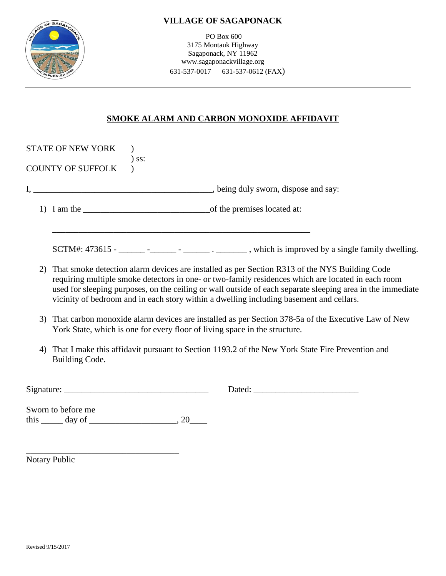



PO Box 600 3175 Montauk Highway Sagaponack, NY 11962 www.sagaponackvillage.org 631-537-0017 631-537-0612 (FAX)

## **SMOKE ALARM AND CARBON MONOXIDE AFFIDAVIT**

|    | <b>STATE OF NEW YORK</b><br><b>COUNTY OF SUFFOLK</b> | $)$ ss:                                                                                                                                                                                                                                                                                                                                                                                   |                                                                                                                                                                                                                                                                                                                                                                                                              |  |
|----|------------------------------------------------------|-------------------------------------------------------------------------------------------------------------------------------------------------------------------------------------------------------------------------------------------------------------------------------------------------------------------------------------------------------------------------------------------|--------------------------------------------------------------------------------------------------------------------------------------------------------------------------------------------------------------------------------------------------------------------------------------------------------------------------------------------------------------------------------------------------------------|--|
|    |                                                      |                                                                                                                                                                                                                                                                                                                                                                                           |                                                                                                                                                                                                                                                                                                                                                                                                              |  |
|    |                                                      |                                                                                                                                                                                                                                                                                                                                                                                           |                                                                                                                                                                                                                                                                                                                                                                                                              |  |
|    |                                                      |                                                                                                                                                                                                                                                                                                                                                                                           | SCTM#: $473615  \frac{\cdot}{\cdot}$ $\frac{\cdot}{\cdot}$ $\cdot$ $\frac{\cdot}{\cdot}$ , which is improved by a single family dwelling.                                                                                                                                                                                                                                                                    |  |
| 2) |                                                      |                                                                                                                                                                                                                                                                                                                                                                                           | That smoke detection alarm devices are installed as per Section R313 of the NYS Building Code<br>requiring multiple smoke detectors in one- or two-family residences which are located in each room<br>used for sleeping purposes, on the ceiling or wall outside of each separate sleeping area in the immediate<br>vicinity of bedroom and in each story within a dwelling including basement and cellars. |  |
| 3) |                                                      |                                                                                                                                                                                                                                                                                                                                                                                           | That carbon monoxide alarm devices are installed as per Section 378-5a of the Executive Law of New<br>York State, which is one for every floor of living space in the structure.                                                                                                                                                                                                                             |  |
| 4) | Building Code.                                       |                                                                                                                                                                                                                                                                                                                                                                                           | That I make this affidavit pursuant to Section 1193.2 of the New York State Fire Prevention and                                                                                                                                                                                                                                                                                                              |  |
|    |                                                      | Signature: $\frac{1}{\sqrt{1-\frac{1}{2}}}\left\{ \frac{1}{2} + \frac{1}{2} \frac{1}{2} \frac{1}{2} + \frac{1}{2} \frac{1}{2} \frac{1}{2} \frac{1}{2} + \frac{1}{2} \frac{1}{2} \frac{1}{2} \frac{1}{2} \frac{1}{2} + \frac{1}{2} \frac{1}{2} \frac{1}{2} \frac{1}{2} \frac{1}{2} \frac{1}{2} \frac{1}{2} \frac{1}{2} \frac{1}{2} \frac{1}{2} \frac{1}{2} \frac{1}{2} \frac{1}{2} \frac{$ |                                                                                                                                                                                                                                                                                                                                                                                                              |  |
|    | Sworn to before me                                   | this $\_\_\_$ day of $\_\_\_\_\_\_$ , 20                                                                                                                                                                                                                                                                                                                                                  |                                                                                                                                                                                                                                                                                                                                                                                                              |  |

Notary Public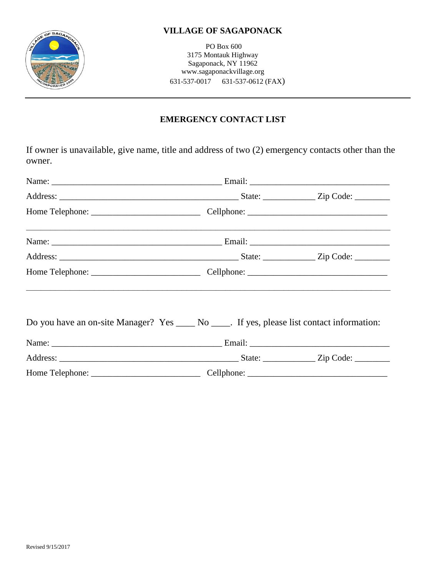

PO Box 600 3175 Montauk Highway Sagaponack, NY 11962 www.sagaponackvillage.org 631-537-0017 631-537-0612 (FAX)

# **EMERGENCY CONTACT LIST**

If owner is unavailable, give name, title and address of two (2) emergency contacts other than the owner.

| Do you have an on-site Manager? Yes _____ No _____. If yes, please list contact information: |  |
|----------------------------------------------------------------------------------------------|--|
|                                                                                              |  |
|                                                                                              |  |
|                                                                                              |  |